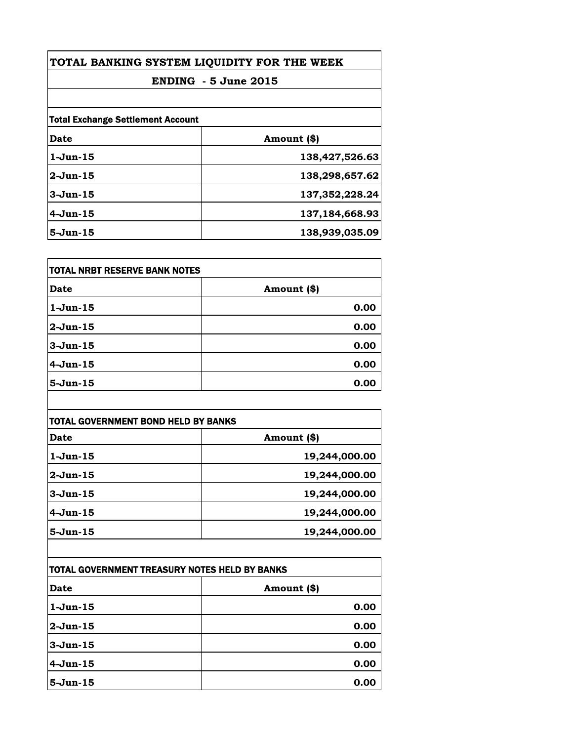| TOTAL BANKING SYSTEM LIQUIDITY FOR THE WEEK<br><b>ENDING - 5 June 2015</b> |                   |                                          |             |  |
|----------------------------------------------------------------------------|-------------------|------------------------------------------|-------------|--|
|                                                                            |                   | <b>Total Exchange Settlement Account</b> |             |  |
|                                                                            |                   | Date                                     | Amount (\$) |  |
| $1-Jun-15$                                                                 | 138,427,526.63    |                                          |             |  |
| $2-Jun-15$                                                                 | 138,298,657.62    |                                          |             |  |
| $3 - Jun-15$                                                               | 137, 352, 228. 24 |                                          |             |  |
| $4-Jun-15$                                                                 | 137,184,668.93    |                                          |             |  |
| $5 - Jun-15$                                                               | 138,939,035.09    |                                          |             |  |

| TOTAL NRBT RESERVE BANK NOTES |             |
|-------------------------------|-------------|
| <b>Date</b>                   | Amount (\$) |
| 1-Jun-15                      | 0.00        |
| 2-Jun-15                      | 0.00        |
| 3-Jun-15                      | 0.00        |
| 4-Jun-15                      | 0.00        |
| 5-Jun-15                      | 0.00        |

| TOTAL GOVERNMENT BOND HELD BY BANKS |               |
|-------------------------------------|---------------|
| Date                                | Amount (\$)   |
| $1-J$ un- $15$                      | 19,244,000.00 |
| $2$ -Jun-15                         | 19,244,000.00 |
| $3-Jun-15$                          | 19,244,000.00 |
| $4-Jun-15$                          | 19,244,000.00 |
| $5 - Jun-15$                        | 19,244,000.00 |

| TOTAL GOVERNMENT TREASURY NOTES HELD BY BANKS |              |
|-----------------------------------------------|--------------|
| Date                                          | Amount $(*)$ |
| 1-Jun-15                                      | 0.00         |
| 2-Jun-15                                      | 0.00         |
| $3 - Jun-15$                                  | 0.00         |
| $4-Jun-15$                                    | 0.00         |
| $5 - Jun-15$                                  | 0.00         |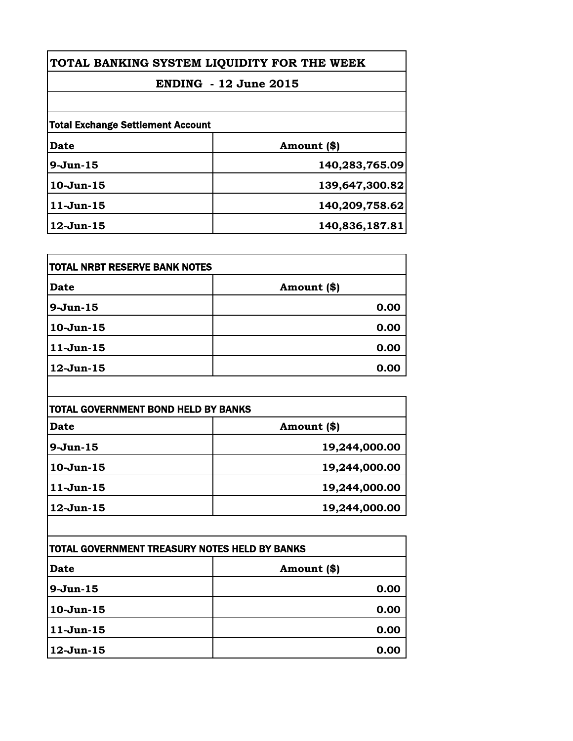| TOTAL BANKING SYSTEM LIQUIDITY FOR THE WEEK |                |
|---------------------------------------------|----------------|
| <b>ENDING - 12 June 2015</b>                |                |
|                                             |                |
| Date                                        | Amount (\$)    |
| $9-Jun-15$                                  | 140,283,765.09 |
| $10-Jun-15$                                 | 139,647,300.82 |
| $11-Jun-15$                                 | 140,209,758.62 |
| $12$ -Jun- $15$                             | 140,836,187.81 |

| TOTAL NRBT RESERVE BANK NOTES |             |
|-------------------------------|-------------|
| <b>Date</b>                   | Amount (\$) |
| 9-Jun-15                      | 0.00        |
| 10-Jun-15                     | 0.00        |
| 11-Jun-15                     | 0.00        |
| 12-Jun-15                     | 0.00        |

| TOTAL GOVERNMENT BOND HELD BY BANKS |               |
|-------------------------------------|---------------|
| <b>Date</b>                         | Amount (\$)   |
| $9-Jun-15$                          | 19,244,000.00 |
| $10-Jun-15$                         | 19,244,000.00 |
| $11-Jun-15$                         | 19,244,000.00 |
| $12$ -Jun- $15$                     | 19,244,000.00 |

| ITOTAL GOVERNMENT TREASURY NOTES HELD BY BANKS |             |
|------------------------------------------------|-------------|
| <b>Date</b>                                    | Amount (\$) |
| $9-Jun-15$                                     | 0.00        |
| $10-Jun-15$                                    | 0.00        |
| $11-Jun-15$                                    | 0.00        |
| $12$ -Jun-15                                   | 0.00        |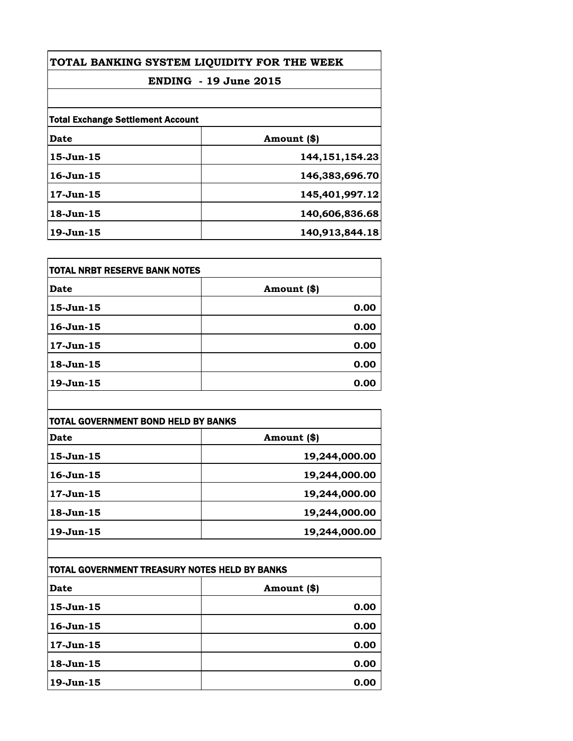| TOTAL BANKING SYSTEM LIQUIDITY FOR THE WEEK<br><b>ENDING - 19 June 2015</b> |                   |                                          |             |
|-----------------------------------------------------------------------------|-------------------|------------------------------------------|-------------|
|                                                                             |                   | <b>Total Exchange Settlement Account</b> |             |
|                                                                             |                   | Date                                     | Amount (\$) |
| $15$ -Jun $-15$                                                             | 144, 151, 154. 23 |                                          |             |
| $16$ -Jun- $15$                                                             | 146,383,696.70    |                                          |             |
| $17-Jun-15$                                                                 | 145,401,997.12    |                                          |             |
| $18$ -Jun $-15$                                                             | 140,606,836.68    |                                          |             |
| $19$ -Jun $-15$                                                             | 140,913,844.18    |                                          |             |

| <b>TOTAL NRBT RESERVE BANK NOTES</b> |             |
|--------------------------------------|-------------|
| Date                                 | Amount (\$) |
| $15$ -Jun $-15$                      | 0.00        |
| $16$ -Jun- $15$                      | 0.00        |
| $17 - Jun-15$                        | 0.00        |
| $18 - Jun-15$                        | 0.00        |
| $19$ -Jun $-15$                      | 0.00        |

| <b>TOTAL GOVERNMENT BOND HELD BY BANKS</b> |               |
|--------------------------------------------|---------------|
| Date                                       | Amount (\$)   |
| $15$ -Jun $-15$                            | 19,244,000.00 |
| $16$ -Jun $-15$                            | 19,244,000.00 |
| 17-Jun-15                                  | 19,244,000.00 |
| $18$ -Jun $-15$                            | 19,244,000.00 |
| $19$ -Jun $-15$                            | 19,244,000.00 |

| TOTAL GOVERNMENT TREASURY NOTES HELD BY BANKS |               |
|-----------------------------------------------|---------------|
| <b>Date</b>                                   | Amount $(\$)$ |
| 15-Jun-15                                     | 0.00          |
| $16$ -Jun- $15$                               | 0.00          |
| $17 - Jun-15$                                 | 0.00          |
| $18 - Jun-15$                                 | 0.00          |
| $19$ -Jun $-15$                               | 0.00          |